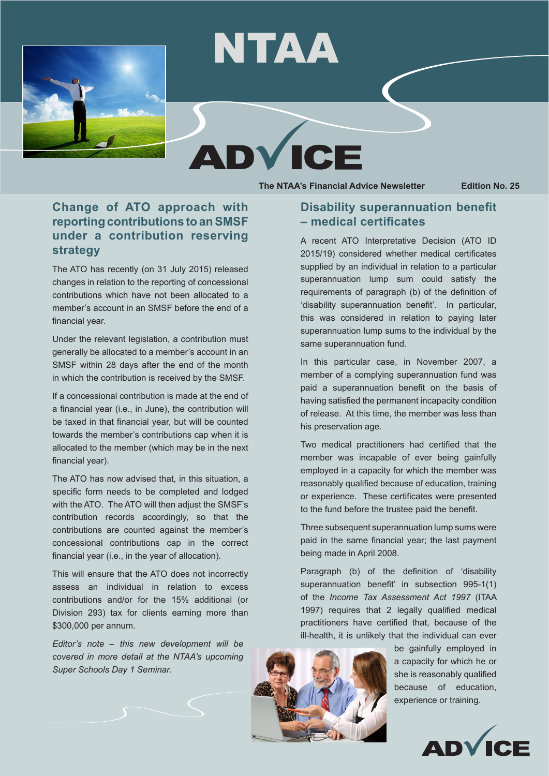



D



**ICF** 

## **Change of ATO approach with reporting contributions to an SMSF under a contribution reserving strategy**

The ATO has recently (on 31 July 2015) released changes in relation to the reporting of concessional contributions which have not been allocated to a member's account in an SMSF before the end of a financial year.

Under the relevant legislation, a contribution must generally be allocated to a member's account in an SMSF within 28 days after the end of the month in which the contribution is received by the SMSF.

If a concessional contribution is made at the end of a financial year (i.e., in June), the contribution will be taxed in that financial year, but will be counted towards the member's contributions cap when it is allocated to the member (which may be in the next financial year).

The ATO has now advised that, in this situation, a specific form needs to be completed and lodged with the ATO. The ATO will then adjust the SMSF's contribution records accordingly, so that the contributions are counted against the member's concessional contributions cap in the correct financial year (i.e., in the year of allocation).

This will ensure that the ATO does not incorrectly assess an individual in relation to excess contributions and/or for the 15% additional (or Division 293) tax for clients earning more than \$300,000 per annum.

*Editor's note – this new development will be covered in more detail at the NTAA's upcoming Super Schools Day 1 Seminar.*

## **Disability superannuation benefit – medical certificates**

A recent ATO Interpretative Decision (ATO ID 2015/19) considered whether medical certificates supplied by an individual in relation to a particular superannuation lump sum could satisfy the requirements of paragraph (b) of the definition of 'disability superannuation benefit'. In particular, this was considered in relation to paying later superannuation lump sums to the individual by the same superannuation fund.

In this particular case, in November 2007, a member of a complying superannuation fund was paid a superannuation benefit on the basis of having satisfied the permanent incapacity condition of release. At this time, the member was less than his preservation age.

Two medical practitioners had certified that the member was incapable of ever being gainfully employed in a capacity for which the member was reasonably qualified because of education, training or experience. These certificates were presented to the fund before the trustee paid the benefit.

Three subsequent superannuation lump sums were paid in the same financial year; the last payment being made in April 2008.

Paragraph (b) of the definition of 'disability superannuation benefit' in subsection 995-1(1) of the *Income Tax Assessment Act 1997* (ITAA 1997) requires that 2 legally qualified medical practitioners have certified that, because of the ill-health, it is unlikely that the individual can ever



be gainfully employed in a capacity for which he or she is reasonably qualified because of education, experience or training.

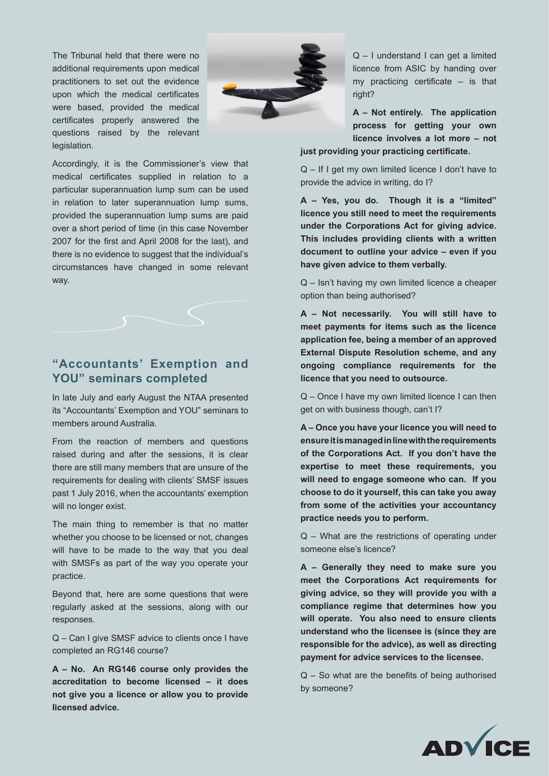The Tribunal held that there were no additional requirements upon medical practitioners to set out the evidence upon which the medical certificates were based, provided the medical certificates properly answered the questions raised by the relevant legislation.



Accordingly, it is the Commissioner's view that medical certificates supplied in relation to a particular superannuation lump sum can be used in relation to later superannuation lump sums, provided the superannuation lump sums are paid over a short period of time (in this case November 2007 for the first and April 2008 for the last), and there is no evidence to suggest that the individual's circumstances have changed in some relevant way.



## **"Accountants' Exemption and YOU" seminars completed**

In late July and early August the NTAA presented its "Accountants' Exemption and YOU" seminars to members around Australia.

From the reaction of members and questions raised during and after the sessions, it is clear there are still many members that are unsure of the requirements for dealing with clients' SMSF issues past 1 July 2016, when the accountants' exemption will no longer exist.

The main thing to remember is that no matter whether you choose to be licensed or not, changes will have to be made to the way that you deal with SMSFs as part of the way you operate your practice.

Beyond that, here are some questions that were regularly asked at the sessions, along with our responses.

Q – Can I give SMSF advice to clients once I have completed an RG146 course?

**A – No. An RG146 course only provides the accreditation to become licensed – it does not give you a licence or allow you to provide licensed advice.**

Q – I understand I can get a limited licence from ASIC by handing over my practicing certificate – is that right?

**A – Not entirely. The application process for getting your own licence involves a lot more – not just providing your practicing certificate.**

Q – If I get my own limited licence I don't have to provide the advice in writing, do I?

**A – Yes, you do. Though it is a "limited" licence you still need to meet the requirements under the Corporations Act for giving advice. This includes providing clients with a written document to outline your advice – even if you have given advice to them verbally.**

Q – Isn't having my own limited licence a cheaper option than being authorised?

**A – Not necessarily. You will still have to meet payments for items such as the licence application fee, being a member of an approved External Dispute Resolution scheme, and any ongoing compliance requirements for the licence that you need to outsource.**

Q – Once I have my own limited licence I can then get on with business though, can't I?

**A – Once you have your licence you will need to ensure it is managed in line with the requirements of the Corporations Act. If you don't have the expertise to meet these requirements, you will need to engage someone who can. If you choose to do it yourself, this can take you away from some of the activities your accountancy practice needs you to perform.**

Q – What are the restrictions of operating under someone else's licence?

**A – Generally they need to make sure you meet the Corporations Act requirements for giving advice, so they will provide you with a compliance regime that determines how you will operate. You also need to ensure clients understand who the licensee is (since they are responsible for the advice), as well as directing payment for advice services to the licensee.**

Q – So what are the benefits of being authorised by someone?